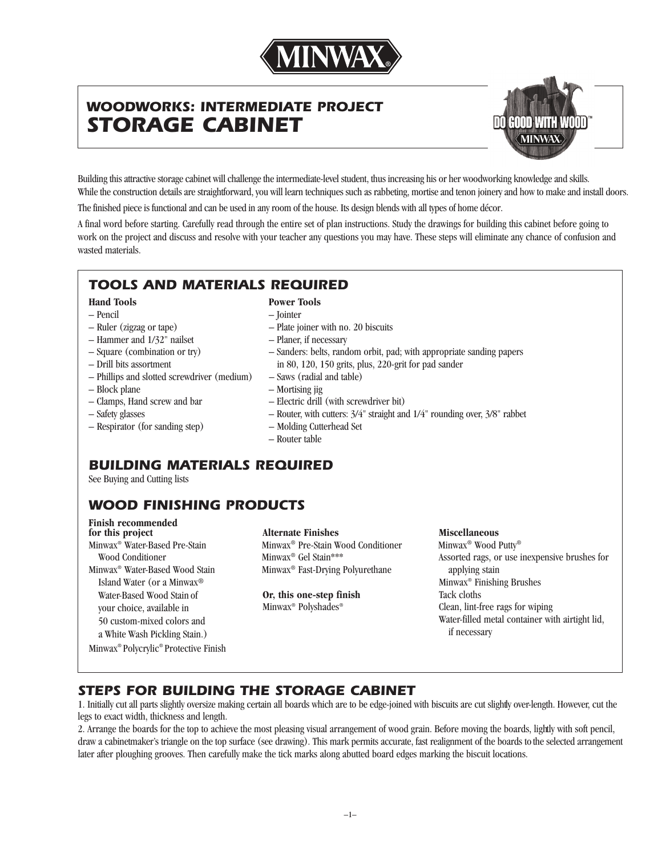

# *WOODWORKS: INTERMEDIATE PROJECT STORAGE CABINET*



Building this attractive storage cabinet will challenge the intermediate-level student, thus increasing his or her woodworking knowledge and skills. While the construction details are straightforward, you will learn techniques such as rabbeting, mortise and tenon joinery and how to make and install doors.

The finished piece is functional and can be used in any room of the house. Its design blends with all types of home décor.

A final word before starting. Carefully read through the entire set of plan instructions. Study the drawings for building this cabinet before going to work on the project and discuss and resolve with your teacher any questions you may have. These steps will eliminate any chance of confusion and wasted materials.

## *TOOLS AND MATERIALS REQUIRED*

#### **Hand Tools Power Tools**

- Pencil Jointer
- 
- Hammer and 1/32" nailset Planer, if necessary<br>
 Square (combination or try) Sanders: belts, rand
- 
- 
- Phillips and slotted screwdriver (medium) Saws (radial and table)
- Block plane Mortising jig
- 
- 
- Respirator (for sanding step) Molding Cutterhead Set
- 
- Ruler (zigzag or tape) Plate joiner with no. 20 biscuits
	-
- Sanders: belts, random orbit, pad; with appropriate sanding papers – Drill bits assortment in 80, 120, 150 grits, plus, 220-grit for pad sander
	-
	-
- Clamps, Hand screw and bar Electric drill (with screwdriver bit)
- Safety glasses Router, with cutters: 3/4" straight and 1/4" rounding over, 3/8" rabbet
	-
	- Router table

## *BUILDING MATERIALS REQUIRED*

See Buying and Cutting lists

# *WOOD FINISHING PRODUCTS*

**Finish recommended** Island Water (or a Minwax®<br>
Water-Based Wood Stain of **Or, this one-step finish** Tack cloths Water-Based Wood Stain of your choice, available in 50 custom-mixed colors and a White Wash Pickling Stain.) Minwax® Polycrylic® Protective Finish

**for this project Alternate Finishes Miscellaneous**

Minwax® Water-Based Pre-Stain Minwax® Pre-Stain Wood Conditioner Minwax® Wood Putty®<br>Wood Conditioner Minwax® Gel Stain\*\*\* Assorted rags, or use i Minwax® Water-Based Wood Stain Minwax® Fast-Drying Polyurethane applying stain

**Or, this one-step finish** 

Wood Conditioner Minwax<sup>®</sup> Gel Stain\*\*\* Assorted rags, or use inexpensive brushes for ® Finishing Brushes Minwax® Polyshades® Clean, lint-free rags for wiping Water-filled metal container with airtight lid, if necessary

# *STEPS FOR BUILDING THE STORAGE CABINET*

1. Initially cut all parts slightly oversize making certain all boards which are to be edge-joined with biscuits are cut slightly over-length. However, cut the legs to exact width, thickness and length.

2. Arrange the boards for the top to achieve the most pleasing visual arrangement of wood grain. Before moving the boards, lightly with soft pencil, draw a cabinetmaker's triangle on the top surface (see drawing). This mark permits accurate, fast realignment of the boards to the selected arrangement later after ploughing grooves. Then carefully make the tick marks along abutted board edges marking the biscuit locations.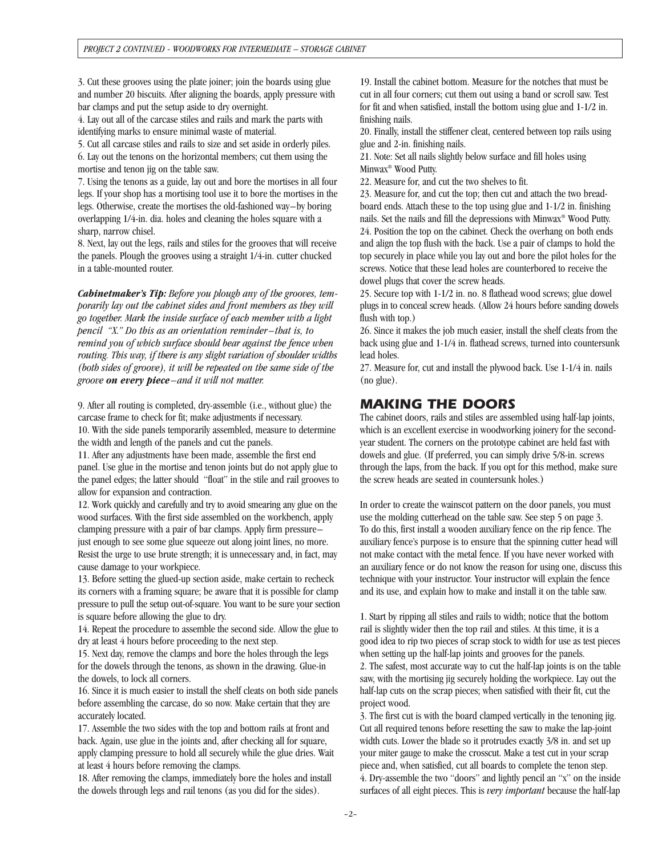3. Cut these grooves using the plate joiner; join the boards using glue and number 20 biscuits. After aligning the boards, apply pressure with bar clamps and put the setup aside to dry overnight.

4. Lay out all of the carcase stiles and rails and mark the parts with identifying marks to ensure minimal waste of material.

5. Cut all carcase stiles and rails to size and set aside in orderly piles. 6. Lay out the tenons on the horizontal members; cut them using the mortise and tenon jig on the table saw.

7. Using the tenons as a guide, lay out and bore the mortises in all four legs. If your shop has a mortising tool use it to bore the mortises in the legs. Otherwise, create the mortises the old-fashioned way–by boring overlapping 1/4-in. dia. holes and cleaning the holes square with a sharp, narrow chisel.

8. Next, lay out the legs, rails and stiles for the grooves that will receive the panels. Plough the grooves using a straight 1/4-in. cutter chucked in a table-mounted router.

*Cabinetmaker's Tip: Before you plough any of the grooves, temporarily lay out the cabinet sides and front members as they will go together. Mark the inside surface of each member with a light pencil "X." Do this as an orientation reminder–that is, to remind you of which surface should bear against the fence when routing. This way, if there is any slight variation of shoulder widths (both sides of groove), it will be repeated on the same side of the groove on every piece–and it will not matter.*

9. After all routing is completed, dry-assemble (i.e., without glue) the carcase frame to check for fit; make adjustments if necessary.

10. With the side panels temporarily assembled, measure to determine the width and length of the panels and cut the panels.

11. After any adjustments have been made, assemble the first end panel. Use glue in the mortise and tenon joints but do not apply glue to the panel edges; the latter should "float" in the stile and rail grooves to allow for expansion and contraction.

12. Work quickly and carefully and try to avoid smearing any glue on the wood surfaces. With the first side assembled on the workbench, apply clamping pressure with a pair of bar clamps. Apply firm pressure– just enough to see some glue squeeze out along joint lines, no more. Resist the urge to use brute strength; it is unnecessary and, in fact, may cause damage to your workpiece.

13. Before setting the glued-up section aside, make certain to recheck its corners with a framing square; be aware that it is possible for clamp pressure to pull the setup out-of-square. You want to be sure your section is square before allowing the glue to dry.

14. Repeat the procedure to assemble the second side. Allow the glue to dry at least 4 hours before proceeding to the next step.

15. Next day, remove the clamps and bore the holes through the legs for the dowels through the tenons, as shown in the drawing. Glue-in the dowels, to lock all corners.

16. Since it is much easier to install the shelf cleats on both side panels before assembling the carcase, do so now. Make certain that they are accurately located.

17. Assemble the two sides with the top and bottom rails at front and back. Again, use glue in the joints and, after checking all for square, apply clamping pressure to hold all securely while the glue dries. Wait at least 4 hours before removing the clamps.

18. After removing the clamps, immediately bore the holes and install the dowels through legs and rail tenons (as you did for the sides).

19. Install the cabinet bottom. Measure for the notches that must be cut in all four corners; cut them out using a band or scroll saw. Test for fit and when satisfied, install the bottom using glue and 1-1/2 in. finishing nails.

20. Finally, install the stiffener cleat, centered between top rails using glue and 2-in. finishing nails.

21. Note: Set all nails slightly below surface and fill holes using Minwax® Wood Putty.

22. Measure for, and cut the two shelves to fit.

23. Measure for, and cut the top; then cut and attach the two breadboard ends. Attach these to the top using glue and 1-1/2 in. finishing nails. Set the nails and fill the depressions with Minwax® Wood Putty. 24. Position the top on the cabinet. Check the overhang on both ends and align the top flush with the back. Use a pair of clamps to hold the top securely in place while you lay out and bore the pilot holes for the screws. Notice that these lead holes are counterbored to receive the dowel plugs that cover the screw heads.

25. Secure top with 1-1/2 in. no. 8 flathead wood screws; glue dowel plugs in to conceal screw heads. (Allow 24 hours before sanding dowels flush with top.)

26. Since it makes the job much easier, install the shelf cleats from the back using glue and 1-1/4 in. flathead screws, turned into countersunk lead holes.

27. Measure for, cut and install the plywood back. Use 1-1/4 in. nails (no glue).

## *MAKING THE DOORS*

The cabinet doors, rails and stiles are assembled using half-lap joints, which is an excellent exercise in woodworking joinery for the secondyear student. The corners on the prototype cabinet are held fast with dowels and glue. (If preferred, you can simply drive 5/8-in. screws through the laps, from the back. If you opt for this method, make sure the screw heads are seated in countersunk holes.)

In order to create the wainscot pattern on the door panels, you must use the molding cutterhead on the table saw. See step 5 on page 3. To do this, first install a wooden auxiliary fence on the rip fence. The auxiliary fence's purpose is to ensure that the spinning cutter head will not make contact with the metal fence. If you have never worked with an auxiliary fence or do not know the reason for using one, discuss this technique with your instructor. Your instructor will explain the fence and its use, and explain how to make and install it on the table saw.

1. Start by ripping all stiles and rails to width; notice that the bottom rail is slightly wider then the top rail and stiles. At this time, it is a good idea to rip two pieces of scrap stock to width for use as test pieces when setting up the half-lap joints and grooves for the panels.

2. The safest, most accurate way to cut the half-lap joints is on the table saw, with the mortising jig securely holding the workpiece. Lay out the half-lap cuts on the scrap pieces; when satisfied with their fit, cut the project wood.

3. The first cut is with the board clamped vertically in the tenoning jig. Cut all required tenons before resetting the saw to make the lap-joint width cuts. Lower the blade so it protrudes exactly 3/8 in. and set up your miter gauge to make the crosscut. Make a test cut in your scrap piece and, when satisfied, cut all boards to complete the tenon step. 4. Dry-assemble the two "doors" and lightly pencil an "x" on the inside surfaces of all eight pieces. This is *very important* because the half-lap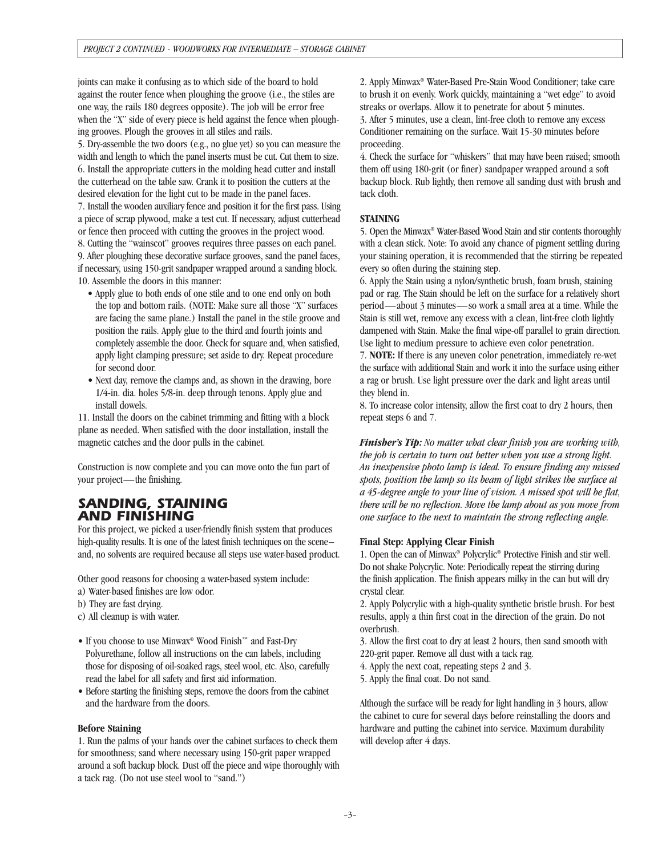joints can make it confusing as to which side of the board to hold against the router fence when ploughing the groove (i.e., the stiles are one way, the rails 180 degrees opposite). The job will be error free when the "X" side of every piece is held against the fence when ploughing grooves. Plough the grooves in all stiles and rails.

5. Dry-assemble the two doors (e.g., no glue yet) so you can measure the width and length to which the panel inserts must be cut. Cut them to size. 6. Install the appropriate cutters in the molding head cutter and install the cutterhead on the table saw. Crank it to position the cutters at the desired elevation for the light cut to be made in the panel faces.

7. Install the wooden auxiliary fence and position it for the first pass. Using a piece of scrap plywood, make a test cut. If necessary, adjust cutterhead or fence then proceed with cutting the grooves in the project wood. 8. Cutting the "wainscot" grooves requires three passes on each panel. 9. After ploughing these decorative surface grooves, sand the panel faces, if necessary, using 150-grit sandpaper wrapped around a sanding block. 10. Assemble the doors in this manner:

- Apply glue to both ends of one stile and to one end only on both the top and bottom rails. (NOTE: Make sure all those "X" surfaces are facing the same plane.) Install the panel in the stile groove and position the rails. Apply glue to the third and fourth joints and completely assemble the door. Check for square and, when satisfied, apply light clamping pressure; set aside to dry. Repeat procedure for second door.
- Next day, remove the clamps and, as shown in the drawing, bore 1/4-in. dia. holes 5/8-in. deep through tenons. Apply glue and install dowels.

11. Install the doors on the cabinet trimming and fitting with a block plane as needed. When satisfied with the door installation, install the magnetic catches and the door pulls in the cabinet.

Construction is now complete and you can move onto the fun part of your project—the finishing.

## *SANDING, STAINING AND FINISHING*

For this project, we picked a user-friendly finish system that produces high-quality results. It is one of the latest finish techniques on the scene– and, no solvents are required because all steps use water-based product.

Other good reasons for choosing a water-based system include:

- a) Water-based finishes are low odor.
- b) They are fast drying.
- c) All cleanup is with water.
- If you choose to use Minwax® Wood Finish™ and Fast-Dry Polyurethane, follow all instructions on the can labels, including those for disposing of oil-soaked rags, steel wool, etc. Also, carefully read the label for all safety and first aid information.
- Before starting the finishing steps, remove the doors from the cabinet and the hardware from the doors.

#### **Before Staining**

1. Run the palms of your hands over the cabinet surfaces to check them for smoothness; sand where necessary using 150-grit paper wrapped around a soft backup block. Dust off the piece and wipe thoroughly with a tack rag. (Do not use steel wool to "sand.")

2. Apply Minwax® Water-Based Pre-Stain Wood Conditioner; take care to brush it on evenly. Work quickly, maintaining a "wet edge" to avoid streaks or overlaps. Allow it to penetrate for about 5 minutes.

3. After 5 minutes, use a clean, lint-free cloth to remove any excess Conditioner remaining on the surface. Wait 15-30 minutes before proceeding.

4. Check the surface for "whiskers" that may have been raised; smooth them off using 180-grit (or finer) sandpaper wrapped around a soft backup block. Rub lightly, then remove all sanding dust with brush and tack cloth.

#### **STAINING**

5. Open the Minwax® Water-Based Wood Stain and stir contents thoroughly with a clean stick. Note: To avoid any chance of pigment settling during your staining operation, it is recommended that the stirring be repeated every so often during the staining step.

6. Apply the Stain using a nylon/synthetic brush, foam brush, staining pad or rag. The Stain should be left on the surface for a relatively short period—about 3 minutes—so work a small area at a time. While the Stain is still wet, remove any excess with a clean, lint-free cloth lightly dampened with Stain. Make the final wipe-off parallel to grain direction. Use light to medium pressure to achieve even color penetration.

7. **NOTE:** If there is any uneven color penetration, immediately re-wet the surface with additional Stain and work it into the surface using either a rag or brush. Use light pressure over the dark and light areas until they blend in.

8. To increase color intensity, allow the first coat to dry 2 hours, then repeat steps 6 and 7.

*Finisher's Tip: No matter what clear finish you are working with, the job is certain to turn out better when you use a strong light. An inexpensive photo lamp is ideal. To ensure finding any missed spots, position the lamp so its beam of light strikes the surface at a 45-degree angle to your line of vision. A missed spot will be flat, there will be no reflection. Move the lamp about as you move from one surface to the next to maintain the strong reflecting angle.*

#### **Final Step: Applying Clear Finish**

1. Open the can of Minwax® Polycrylic® Protective Finish and stir well. Do not shake Polycrylic. Note: Periodically repeat the stirring during the finish application. The finish appears milky in the can but will dry crystal clear.

2. Apply Polycrylic with a high-quality synthetic bristle brush. For best results, apply a thin first coat in the direction of the grain. Do not overbrush.

3. Allow the first coat to dry at least 2 hours, then sand smooth with 220-grit paper. Remove all dust with a tack rag.

- 4. Apply the next coat, repeating steps 2 and 3.
- 5. Apply the final coat. Do not sand.

Although the surface will be ready for light handling in 3 hours, allow the cabinet to cure for several days before reinstalling the doors and hardware and putting the cabinet into service. Maximum durability will develop after 4 days.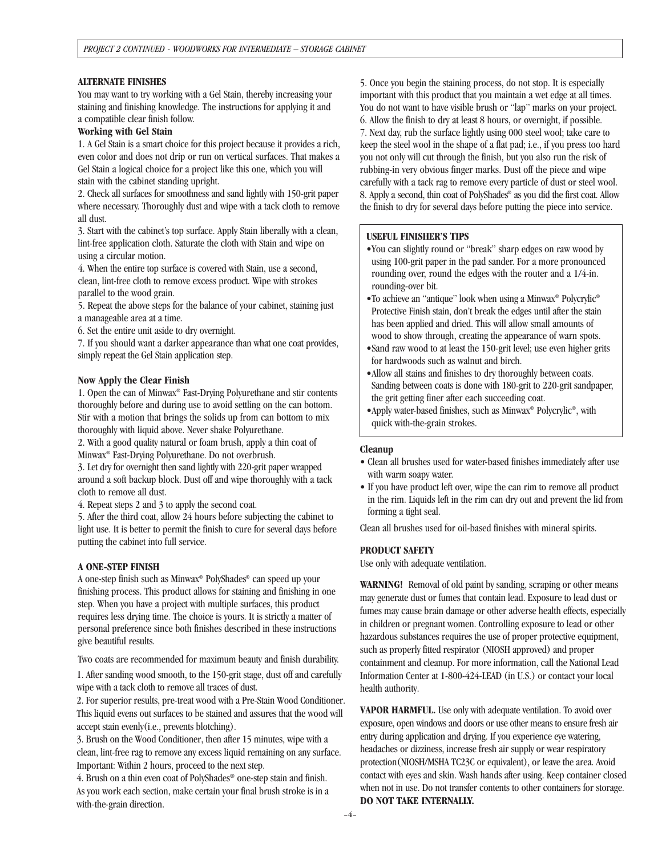#### **ALTERNATE FINISHES**

You may want to try working with a Gel Stain, thereby increasing your staining and finishing knowledge. The instructions for applying it and a compatible clear finish follow.

#### **Working with Gel Stain**

1. A Gel Stain is a smart choice for this project because it provides arich, even color and does not drip or run on vertical surfaces. That makes a Gel Stain a logical choice for a project like this one, which you will stain with the cabinet standing upright.

2. Check all surfaces for smoothness and sand lightly with 150-grit paper where necessary. Thoroughly dust and wipe with a tack cloth to remove all dust.

3. Start with the cabinet's top surface. Apply Stain liberally with a clean, lint-free application cloth. Saturate the cloth with Stain and wipe on using a circular motion.

4. When the entire top surface is covered with Stain, use a second, clean, lint-free cloth to remove excess product. Wipe with strokes parallel to the wood grain.

5. Repeat the above steps for the balance of your cabinet, staining just a manageable area at a time.

6. Set the entire unit aside to dry overnight.

7. If you should want a darker appearance than what one coat provides, simply repeat the Gel Stain application step.

#### **Now Apply the Clear Finish**

1. Open the can of Minwax® Fast-Drying Polyurethane and stir contents thoroughly before and during use to avoid settling on the can bottom. Stir with a motion that brings the solids up from can bottom to mix thoroughly with liquid above. Never shake Polyurethane.

2. With a good quality natural or foam brush, apply a thin coat of Minwax® Fast-Drying Polyurethane. Do not overbrush.

3. Let dry for overnight then sand lightly with 220-grit paper wrapped around a soft backup block. Dust off and wipe thoroughly with a tack cloth to remove all dust.

4. Repeat steps 2 and 3 to apply the second coat.

5. After the third coat, allow 24 hours before subjecting the cabinet to light use. It is better to permit the finish to cure for several days before putting the cabinet into full service.

#### **A ONE-STEP FINISH**

A one-step finish such as Minwax® PolyShades ® can speed up your finishing process. This product allows for staining and finishing in one step. When you have a project with multiple surfaces, this product requires less drying time. The choice is yours. It is strictly a matter of personal preference since both finishes described in these instructions give beautiful results.

Two coats are recommended for maximum beauty and finish durability.

1. After sanding wood smooth, to the 150-grit stage, dust off and carefully wipe with a tack cloth to remove all traces of dust.

2. For superior results, pre-treat wood with a Pre-Stain Wood Conditioner. This liquid evens out surfaces to be stained and assures that the wood will accept stain evenly(i.e., prevents blotching).

3. Brush on the Wood Conditioner, then after 15 minutes, wipe with a clean, lint-free rag to remove any excess liquid remaining on any surface. Important: Within 2 hours, proceed to the next step.

4. Brush on a thin even coat of PolyShades® one-step stain and finish. As you work each section, make certain your final brush stroke is in a with-the-grain direction.

5. Once you begin the staining process, do not stop. It is especially important with this product that you maintain a wet edge at all times. You do not want to have visible brush or "lap" marks on your project. 6. Allow the finish to dry at least 8 hours, or overnight, if possible. 7. Next day, rub the surface lightly using 000 steel wool; take care to keep the steel wool in the shape of a flat pad; i.e., if you press too hard you not only will cut through the finish, but you also run the risk of rubbing-in very obvious finger marks. Dust off the piece and wipe carefully with a tack rag to remove every particle of dust or steel wool. 8. Apply a second, thin coat of PolyShades ® as you did the first coat. Allow the finish to dry for several days before putting the piece into service.

#### **USEFUL FINISHER'S TIPS**

- •You can slightly round or "break" sharp edges on raw wood by using 100-grit paper in the pad sander. For a more pronounced rounding over, round the edges with the router and a 1/4-in. rounding-over bit.
- •To achieve an "antique" look when using a Minwax® Polycrylic® Protective Finish stain, don't break the edges until after the stain has been applied and dried. This will allow small amounts of wood to show through, creating the appearance of warn spots.
- •Sand raw wood to at least the 150-grit level; use even higher grits for hardwoods such as walnut and birch.
- •Allow all stains and finishes to dry thoroughly between coats. Sanding between coats is done with 180-grit to 220-grit sandpaper, the grit getting finer after each succeeding coat.
- •Apply water-based finishes, such as Minwax® Polycrylic®, with quick with-the-grain strokes.

#### **Cleanup**

- Clean all brushes used for water-based finishes immediately after use with warm soapy water.
- If you have product left over, wipe the can rim to remove all product in the rim. Liquids left in the rim can dry out and prevent the lid from forming a tight seal.

Clean all brushes used for oil-based finishes with mineral spirits.

#### **PRODUCT SAFETY**

Use only with adequate ventilation.

**WARNING!** Removal of old paint by sanding, scraping or other means may generate dust or fumes that contain lead. Exposure to lead dust or fumes may cause brain damage or other adverse health effects, especially in children or pregnant women. Controlling exposure to lead or other hazardous substances requires the use of proper protective equipment, such as properly fitted respirator (NIOSH approved) and proper containment and cleanup. For more information, call the National Lead Information Center at 1-800-424-LEAD (in U.S.) or contact your local health authority.

**VAPOR HARMFUL.** Use only with adequate ventilation. To avoid over exposure, open windows and doors or use other means to ensure fresh air entry during application and drying. If you experience eye watering, headaches or dizziness, increase fresh air supply or wear respiratory protection(NIOSH/MSHA TC23C or equivalent), or leave the area. Avoid contact with eyes and skin. Wash hands after using. Keep container closed when not in use. Do not transfer contents to other containers for storage. **DO NOT TAKE INTERNALLY.**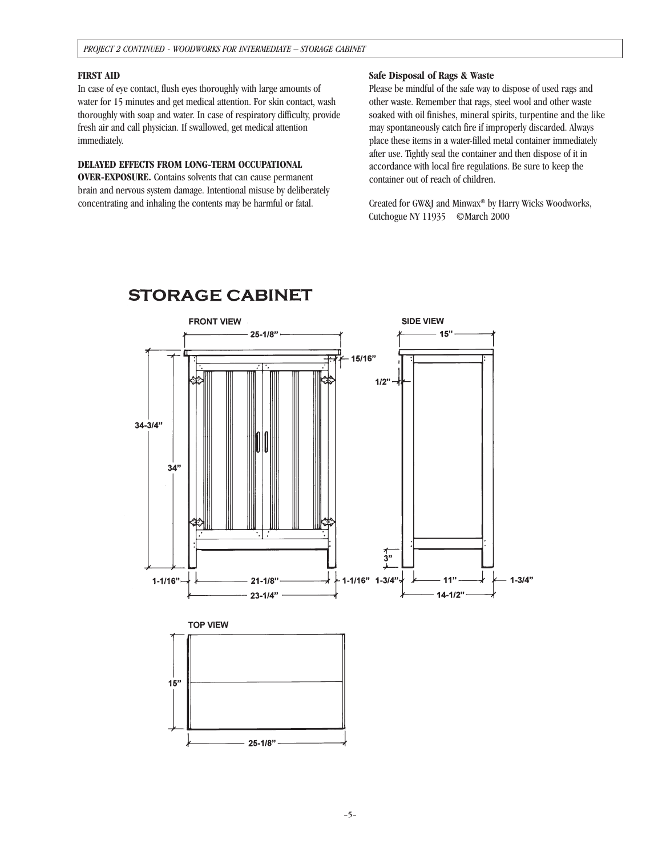## **FIRST AID**

In case of eye contact, flush eyes thoroughly with large amounts of water for 15 minutes and get medical attention. For skin contact, wash thoroughly with soap and water. In case of respiratory difficulty, provide fresh air and call physician. If swallowed, get medical attention immediately.

#### **DELAYED EFFECTS FROM LONG-TERM OCCUPATIONAL**

**OVER-EXPOSURE.** Contains solvents that can cause permanent brain and nervous system damage. Intentional misuse by deliberately concentrating and inhaling the contents may be harmful or fatal.

#### **Safe Disposal of Rags & Waste**

Please be mindful of the safe way to dispose of used rags and other waste. Remember that rags, steel wool and other waste soaked with oil finishes, mineral spirits, turpentine and the like may spontaneously catch fire if improperly discarded. Always place these items in a water-filled metal container immediately after use. Tightly seal the container and then dispose of it in accordance with local fire regulations. Be sure to keep the container out of reach of children.

Created for GW&J and Minwax® by Harry Wicks Woodworks, Cutchogue NY 11935 ©March 2000



# **STORAGE CABINET**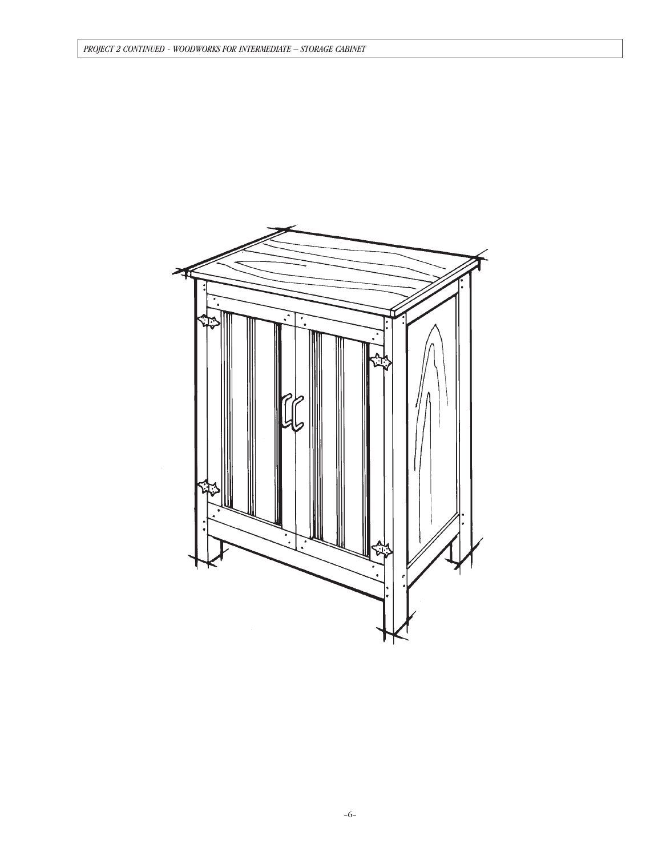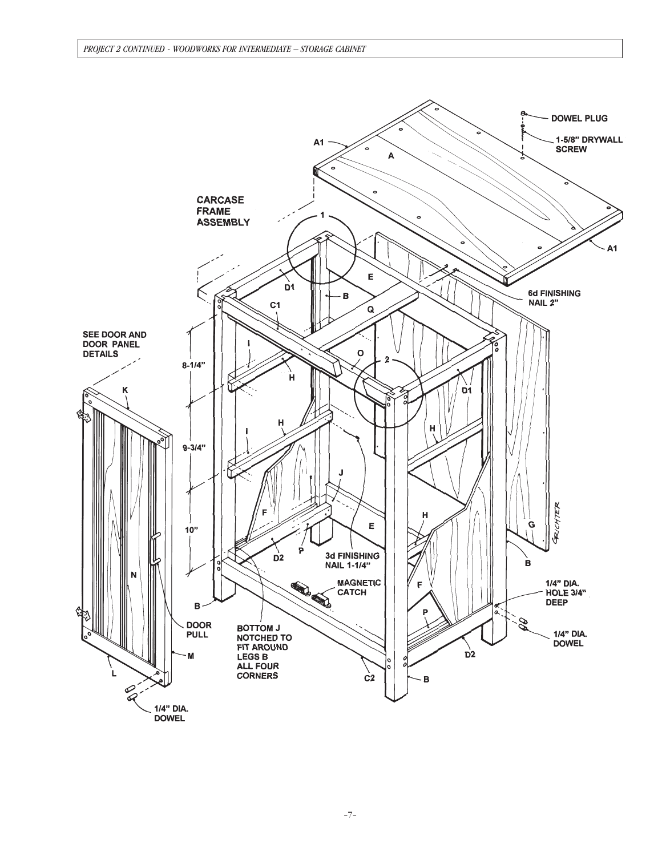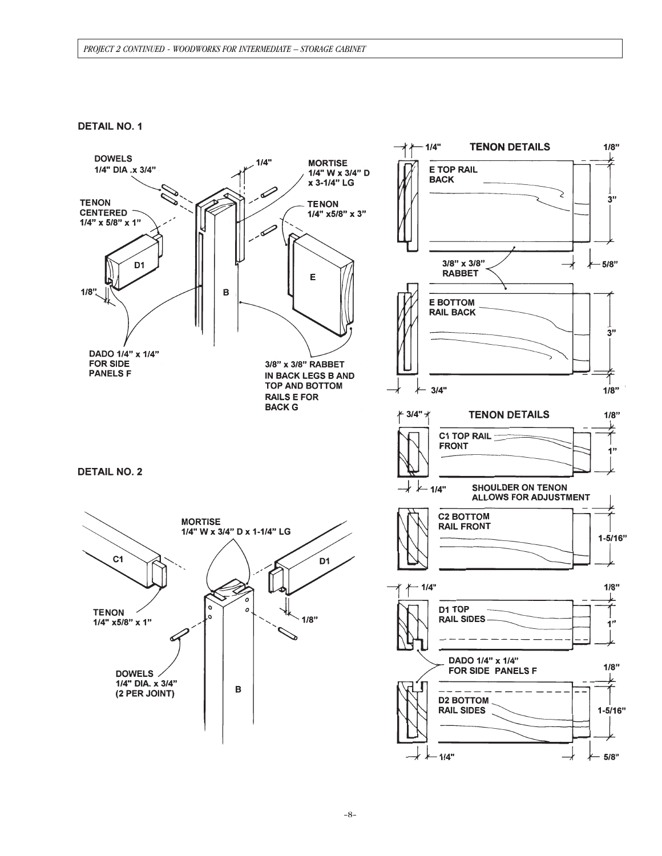**DETAIL NO. 1** 

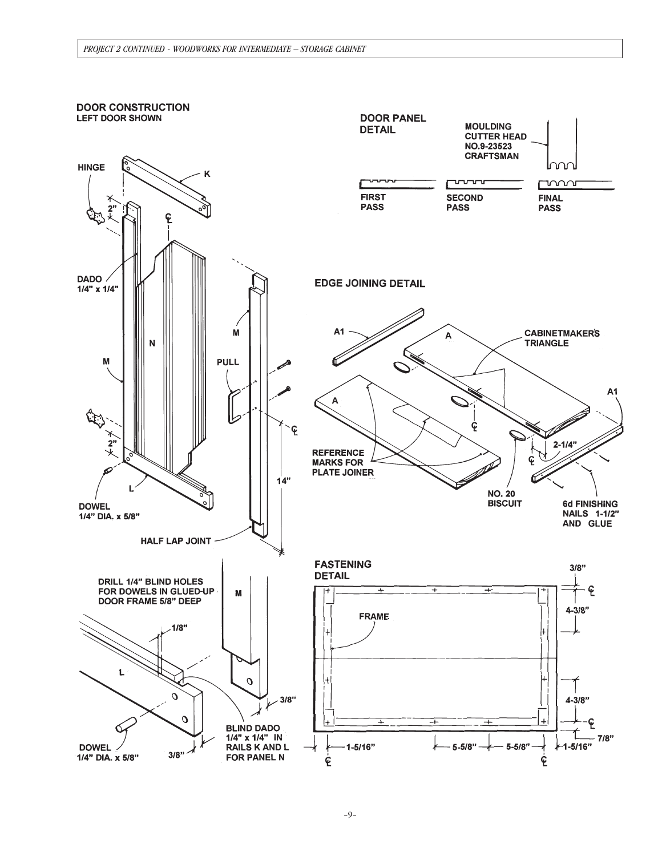**DOOR CONSTRUCTION LEFT DOOR SHOWN** 

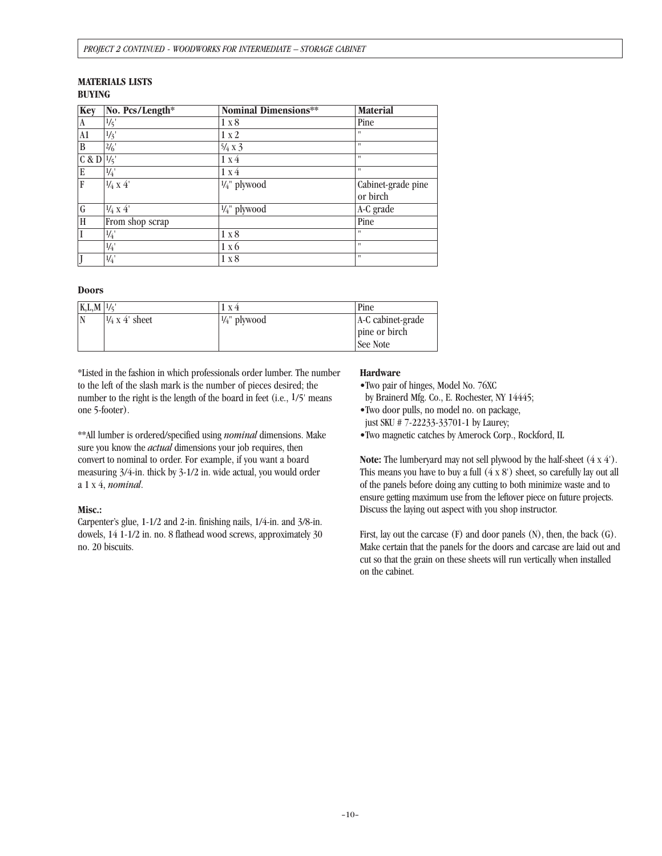#### **MATERIALS LISTS BUYING**

| Key              | No. Pcs/Length*   | <b>Nominal Dimensions**</b> | <b>Material</b>    |
|------------------|-------------------|-----------------------------|--------------------|
| $\Lambda$        | 1/5               | 1 <sub>x</sub> 8            | Pine               |
| A1               | $\frac{1}{3}$     | 1 x 2                       | п                  |
| B                | $\frac{2}{6}$     | $5/4 \times 3$              | $\mathbf{H}$       |
| $ C \& D ^{1/5}$ |                   | $1 \times 4$                | $\mathbf{H}$       |
| ${\bf E}$        | $\frac{1}{4}$     | $1 \times 4$                | $\mathbf{H}$       |
| F                | $1/4 \times 4$    | $1/4$ " plywood             | Cabinet-grade pine |
|                  |                   |                             | or birch           |
| G                | $\frac{1}{4}x$ 4' | $\frac{1}{4}$ " plywood     | A-C grade          |
| H                | From shop scrap   |                             | Pine               |
| Ī                | $\frac{1}{4}$     | 1 x 8                       | $\mathbf{H}$       |
|                  | $\frac{1}{4}$     | $1 \times 6$                | $\mathbf{H}$       |
| J                | $1/4$             | 1 x 8                       | $\mathbf{H}$       |

#### **Doors**

| $K, L, M  1/\zeta'$ |                      | 1 x 4           | Pine              |
|---------------------|----------------------|-----------------|-------------------|
|                     | $1/4 \times 4$ sheet | $1/4$ " plywood | A-C cabinet-grade |
|                     |                      |                 | pine or birch     |
|                     |                      |                 | See Note          |

\*Listed in the fashion in which professionals order lumber. The number to the left of the slash mark is the number of pieces desired; the number to the right is the length of the board in feet (i.e., 1/5' means one 5-footer).

\*\*All lumber is ordered/specified using *nominal* dimensions. Make sure you know the *actual* dimensions your job requires, then convert to nominal to order. For example, if you want a board measuring 3/4-in. thick by 3-1/2 in. wide actual, you would order a 1 x 4, *nominal*.

#### **Misc.:**

Carpenter's glue, 1-1/2 and 2-in. finishing nails, 1/4-in. and 3/8-in. dowels, 14 1-1/2 in. no. 8 flathead wood screws, approximately 30 no. 20 biscuits.

#### **Hardware**

- •Two pair of hinges, Model No. 76XC
- by Brainerd Mfg. Co., E. Rochester, NY 14445;
- •Two door pulls, no model no. on package,
- just SKU # 7-22233-33701-1 by Laurey;
- •Two magnetic catches by Amerock Corp., Rockford, IL

**Note:** The lumberyard may not sell plywood by the half-sheet (4 x 4'). This means you have to buy a full  $(4 \times 8')$  sheet, so carefully lay out all of the panels before doing any cutting to both minimize waste and to ensure getting maximum use from the leftover piece on future projects. Discuss the laying out aspect with you shop instructor.

First, lay out the carcase (F) and door panels (N), then, the back (G). Make certain that the panels for the doors and carcase are laid out and cut so that the grain on these sheets will run vertically when installed on the cabinet.